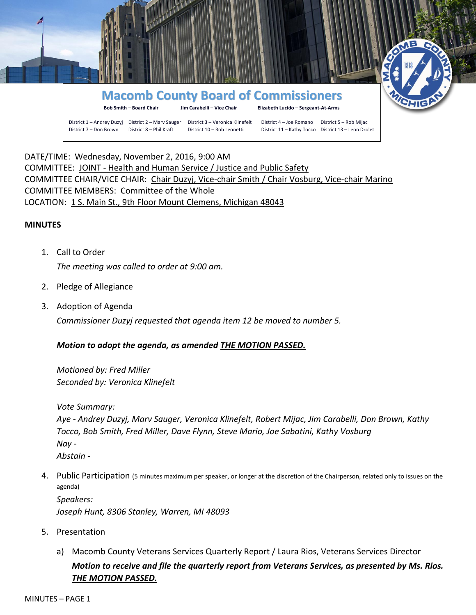

DATE/TIME: Wednesday, November 2, 2016, 9:00 AM COMMITTEE: JOINT - Health and Human Service / Justice and Public Safety COMMITTEE CHAIR/VICE CHAIR: Chair Duzyj, Vice-chair Smith / Chair Vosburg, Vice-chair Marino COMMITTEE MEMBERS: Committee of the Whole LOCATION: 1 S. Main St., 9th Floor Mount Clemens, Michigan 48043

### **MINUTES**

- 1. Call to Order *The meeting was called to order at 9:00 am.*
- 2. Pledge of Allegiance
- 3. Adoption of Agenda

*Commissioner Duzyj requested that agenda item 12 be moved to number 5.*

## *Motion to adopt the agenda, as amended THE MOTION PASSED.*

*Motioned by: Fred Miller Seconded by: Veronica Klinefelt*

*Vote Summary:* 

*Aye - Andrey Duzyj, Marv Sauger, Veronica Klinefelt, Robert Mijac, Jim Carabelli, Don Brown, Kathy Tocco, Bob Smith, Fred Miller, Dave Flynn, Steve Mario, Joe Sabatini, Kathy Vosburg Nay - Abstain -*

4. Public Participation (5 minutes maximum per speaker, or longer at the discretion of the Chairperson, related only to issues on the agenda)

*Speakers: Joseph Hunt, 8306 Stanley, Warren, MI 48093*

- 5. Presentation
	- a) Macomb County Veterans Services Quarterly Report / Laura Rios, Veterans Services Director *Motion to receive and file the quarterly report from Veterans Services, as presented by Ms. Rios. THE MOTION PASSED.*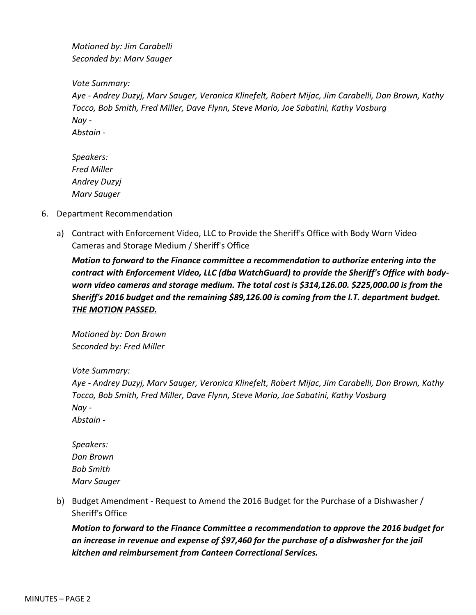*Motioned by: Jim Carabelli Seconded by: Marv Sauger*

*Vote Summary:*

*Aye - Andrey Duzyj, Marv Sauger, Veronica Klinefelt, Robert Mijac, Jim Carabelli, Don Brown, Kathy Tocco, Bob Smith, Fred Miller, Dave Flynn, Steve Mario, Joe Sabatini, Kathy Vosburg Nay - Abstain -*

*Speakers: Fred Miller Andrey Duzyj Marv Sauger*

- 6. Department Recommendation
	- a) Contract with Enforcement Video, LLC to Provide the Sheriff's Office with Body Worn Video Cameras and Storage Medium / Sheriff's Office

*Motion to forward to the Finance committee a recommendation to authorize entering into the contract with Enforcement Video, LLC (dba WatchGuard) to provide the Sheriff's Office with bodyworn video cameras and storage medium. The total cost is \$314,126.00. \$225,000.00 is from the Sheriff's 2016 budget and the remaining \$89,126.00 is coming from the I.T. department budget. THE MOTION PASSED.*

*Motioned by: Don Brown Seconded by: Fred Miller*

*Vote Summary:*

*Aye - Andrey Duzyj, Marv Sauger, Veronica Klinefelt, Robert Mijac, Jim Carabelli, Don Brown, Kathy Tocco, Bob Smith, Fred Miller, Dave Flynn, Steve Mario, Joe Sabatini, Kathy Vosburg Nay - Abstain -*

*Speakers: Don Brown Bob Smith Marv Sauger*

b) Budget Amendment - Request to Amend the 2016 Budget for the Purchase of a Dishwasher / Sheriff's Office

*Motion to forward to the Finance Committee a recommendation to approve the 2016 budget for an increase in revenue and expense of \$97,460 for the purchase of a dishwasher for the jail kitchen and reimbursement from Canteen Correctional Services.*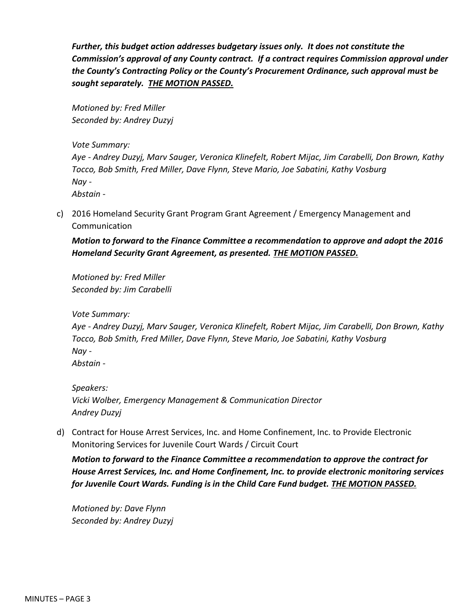*Further, this budget action addresses budgetary issues only. It does not constitute the Commission's approval of any County contract. If a contract requires Commission approval under the County's Contracting Policy or the County's Procurement Ordinance, such approval must be sought separately. THE MOTION PASSED.*

*Motioned by: Fred Miller Seconded by: Andrey Duzyj*

*Vote Summary:*

*Aye - Andrey Duzyj, Marv Sauger, Veronica Klinefelt, Robert Mijac, Jim Carabelli, Don Brown, Kathy Tocco, Bob Smith, Fred Miller, Dave Flynn, Steve Mario, Joe Sabatini, Kathy Vosburg Nay - Abstain -*

c) 2016 Homeland Security Grant Program Grant Agreement / Emergency Management and Communication

*Motion to forward to the Finance Committee a recommendation to approve and adopt the 2016 Homeland Security Grant Agreement, as presented. THE MOTION PASSED.*

*Motioned by: Fred Miller Seconded by: Jim Carabelli*

*Vote Summary:*

*Aye - Andrey Duzyj, Marv Sauger, Veronica Klinefelt, Robert Mijac, Jim Carabelli, Don Brown, Kathy Tocco, Bob Smith, Fred Miller, Dave Flynn, Steve Mario, Joe Sabatini, Kathy Vosburg Nay -*

*Abstain -*

*Speakers: Vicki Wolber, Emergency Management & Communication Director Andrey Duzyj*

d) Contract for House Arrest Services, Inc. and Home Confinement, Inc. to Provide Electronic Monitoring Services for Juvenile Court Wards / Circuit Court

*Motion to forward to the Finance Committee a recommendation to approve the contract for House Arrest Services, Inc. and Home Confinement, Inc. to provide electronic monitoring services for Juvenile Court Wards. Funding is in the Child Care Fund budget. THE MOTION PASSED.*

*Motioned by: Dave Flynn Seconded by: Andrey Duzyj*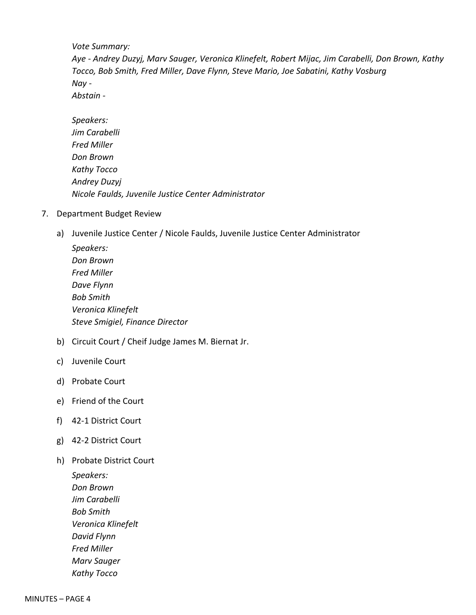*Vote Summary:*

*Aye - Andrey Duzyj, Marv Sauger, Veronica Klinefelt, Robert Mijac, Jim Carabelli, Don Brown, Kathy Tocco, Bob Smith, Fred Miller, Dave Flynn, Steve Mario, Joe Sabatini, Kathy Vosburg Nay -*

*Abstain -*

| Speakers:                                            |
|------------------------------------------------------|
| Jim Carabelli                                        |
| Fred Miller                                          |
| Don Brown                                            |
| Kathy Tocco                                          |
| Andrey Duzyj                                         |
| Nicole Faulds, Juvenile Justice Center Administrator |

- 7. Department Budget Review
	- a) Juvenile Justice Center / Nicole Faulds, Juvenile Justice Center Administrator

| Speakers:                       |
|---------------------------------|
| Don Brown                       |
| Fred Miller                     |
| Dave Flynn                      |
| Bob Smith                       |
| Veronica Klinefelt              |
| Steve Smigiel, Finance Director |
|                                 |

- b) Circuit Court / Cheif Judge James M. Biernat Jr.
- c) Juvenile Court
- d) Probate Court
- e) Friend of the Court
- f) 42-1 District Court
- g) 42-2 District Court
- h) Probate District Court

*Speakers: Don Brown Jim Carabelli Bob Smith Veronica Klinefelt David Flynn Fred Miller Marv Sauger Kathy Tocco*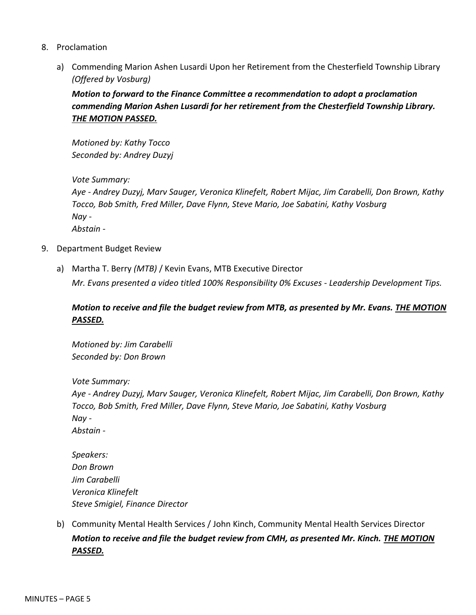- 8. Proclamation
	- a) Commending Marion Ashen Lusardi Upon her Retirement from the Chesterfield Township Library *(Offered by Vosburg)*

*Motion to forward to the Finance Committee a recommendation to adopt a proclamation commending Marion Ashen Lusardi for her retirement from the Chesterfield Township Library. THE MOTION PASSED.*

*Motioned by: Kathy Tocco Seconded by: Andrey Duzyj*

*Vote Summary:*

*Aye - Andrey Duzyj, Marv Sauger, Veronica Klinefelt, Robert Mijac, Jim Carabelli, Don Brown, Kathy Tocco, Bob Smith, Fred Miller, Dave Flynn, Steve Mario, Joe Sabatini, Kathy Vosburg Nay - Abstain -*

- 9. Department Budget Review
	- a) Martha T. Berry *(MTB)* / Kevin Evans, MTB Executive Director

*Mr. Evans presented a video titled 100% Responsibility 0% Excuses - Leadership Development Tips.*

# *Motion to receive and file the budget review from MTB, as presented by Mr. Evans. THE MOTION PASSED.*

*Motioned by: Jim Carabelli Seconded by: Don Brown*

*Vote Summary:*

*Aye - Andrey Duzyj, Marv Sauger, Veronica Klinefelt, Robert Mijac, Jim Carabelli, Don Brown, Kathy Tocco, Bob Smith, Fred Miller, Dave Flynn, Steve Mario, Joe Sabatini, Kathy Vosburg Nay - Abstain -*

*Speakers: Don Brown Jim Carabelli Veronica Klinefelt Steve Smigiel, Finance Director*

b) Community Mental Health Services / John Kinch, Community Mental Health Services Director *Motion to receive and file the budget review from CMH, as presented Mr. Kinch. THE MOTION PASSED.*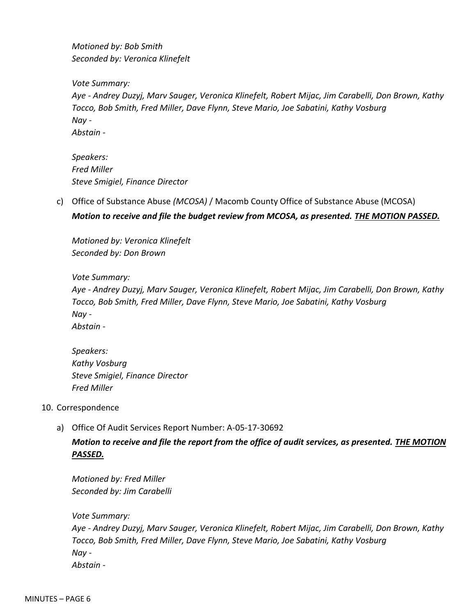*Motioned by: Bob Smith Seconded by: Veronica Klinefelt*

*Vote Summary:*

*Aye - Andrey Duzyj, Marv Sauger, Veronica Klinefelt, Robert Mijac, Jim Carabelli, Don Brown, Kathy Tocco, Bob Smith, Fred Miller, Dave Flynn, Steve Mario, Joe Sabatini, Kathy Vosburg Nay - Abstain -*

*Speakers: Fred Miller Steve Smigiel, Finance Director*

c) Office of Substance Abuse *(MCOSA)* / Macomb County Office of Substance Abuse (MCOSA) *Motion to receive and file the budget review from MCOSA, as presented. THE MOTION PASSED.*

*Motioned by: Veronica Klinefelt Seconded by: Don Brown*

# *Vote Summary:*

*Aye - Andrey Duzyj, Marv Sauger, Veronica Klinefelt, Robert Mijac, Jim Carabelli, Don Brown, Kathy Tocco, Bob Smith, Fred Miller, Dave Flynn, Steve Mario, Joe Sabatini, Kathy Vosburg Nay - Abstain -*

*Speakers: Kathy Vosburg Steve Smigiel, Finance Director Fred Miller*

- 10. Correspondence
	- a) Office Of Audit Services Report Number: A-05-17-30692

*Motion to receive and file the report from the office of audit services, as presented. THE MOTION PASSED.*

*Motioned by: Fred Miller Seconded by: Jim Carabelli*

*Vote Summary:*

*Aye - Andrey Duzyj, Marv Sauger, Veronica Klinefelt, Robert Mijac, Jim Carabelli, Don Brown, Kathy Tocco, Bob Smith, Fred Miller, Dave Flynn, Steve Mario, Joe Sabatini, Kathy Vosburg Nay - Abstain -*